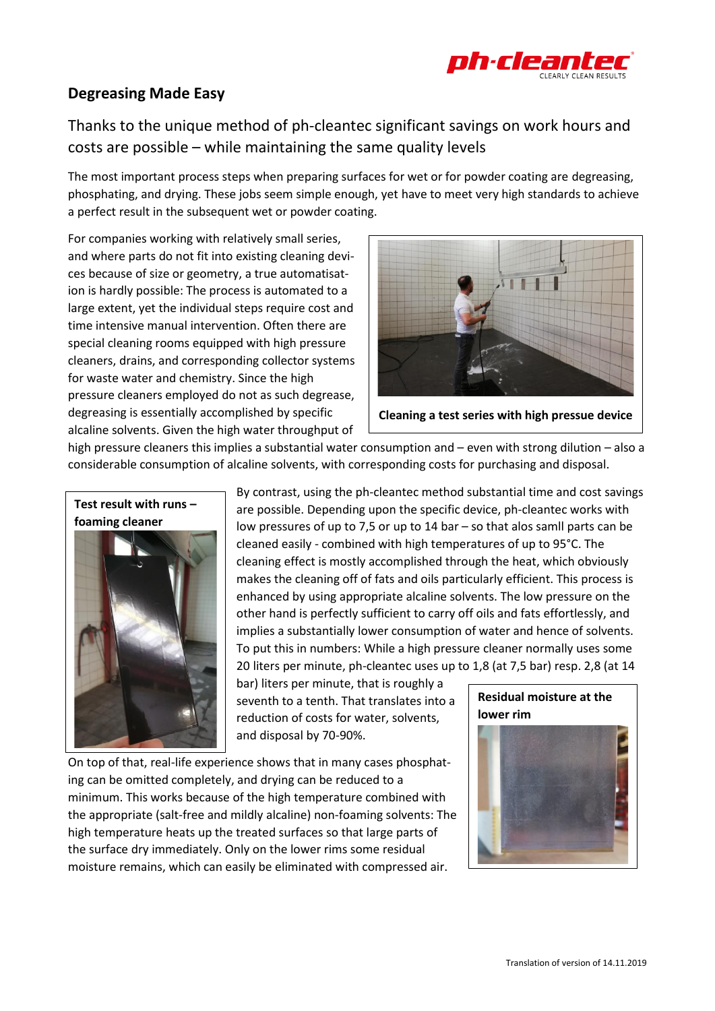

## **Degreasing Made Easy**

Thanks to the unique method of ph-cleantec significant savings on work hours and costs are possible – while maintaining the same quality levels

The most important process steps when preparing surfaces for wet or for powder coating are degreasing, phosphating, and drying. These jobs seem simple enough, yet have to meet very high standards to achieve a perfect result in the subsequent wet or powder coating.

For companies working with relatively small series, and where parts do not fit into existing cleaning devices because of size or geometry, a true automatisation is hardly possible: The process is automated to a large extent, yet the individual steps require cost and time intensive manual intervention. Often there are special cleaning rooms equipped with high pressure cleaners, drains, and corresponding collector systems for waste water and chemistry. Since the high pressure cleaners employed do not as such degrease, degreasing is essentially accomplished by specific alcaline solvents. Given the high water throughput of



**Cleaning a test series with high pressue device**

high pressure cleaners this implies a substantial water consumption and – even with strong dilution – also a considerable consumption of alcaline solvents, with corresponding costs for purchasing and disposal.

**Test result with runs – foaming cleaner**

By contrast, using the ph-cleantec method substantial time and cost savings are possible. Depending upon the specific device, ph-cleantec works with low pressures of up to 7,5 or up to 14 bar – so that alos samll parts can be cleaned easily - combined with high temperatures of up to 95°C. The cleaning effect is mostly accomplished through the heat, which obviously makes the cleaning off of fats and oils particularly efficient. This process is enhanced by using appropriate alcaline solvents. The low pressure on the other hand is perfectly sufficient to carry off oils and fats effortlessly, and implies a substantially lower consumption of water and hence of solvents. To put this in numbers: While a high pressure cleaner normally uses some 20 liters per minute, ph-cleantec uses up to 1,8 (at 7,5 bar) resp. 2,8 (at 14

bar) liters per minute, that is roughly a seventh to a tenth. That translates into a reduction of costs for water, solvents, and disposal by 70-90%.

On top of that, real-life experience shows that in many cases phosphating can be omitted completely, and drying can be reduced to a minimum. This works because of the high temperature combined with the appropriate (salt-free and mildly alcaline) non-foaming solvents: The high temperature heats up the treated surfaces so that large parts of the surface dry immediately. Only on the lower rims some residual moisture remains, which can easily be eliminated with compressed air.

## **Residual moisture at the lower rim**